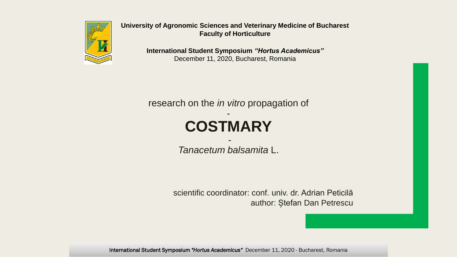

**University of Agronomic Sciences and Veterinary Medicine of Bucharest Faculty of Horticulture**

> **International Student Symposium** *"Hortus Academicus"* December 11, 2020, Bucharest, Romania

research on the *in vitro* propagation of

#### - **COSTMARY**

- *Tanacetum balsamita* L.

scientific coordinator: conf. univ. dr. Adrian Peticilă author: Ștefan Dan Petrescu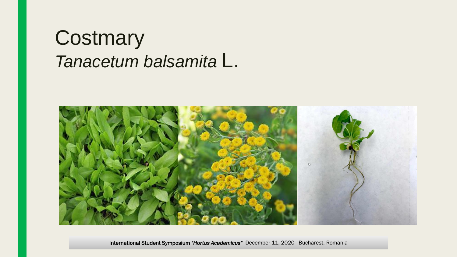#### **Costmary** *Tanacetum balsamita* L.

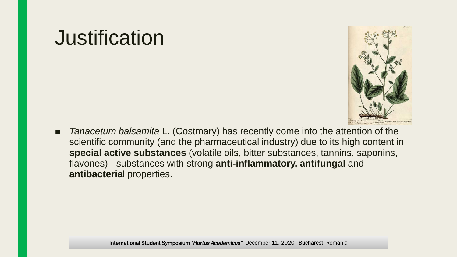### **Justification**



■ *Tanacetum balsamita* L. (Costmary) has recently come into the attention of the scientific community (and the pharmaceutical industry) due to its high content in **special active substances** (volatile oils, bitter substances, tannins, saponins, flavones) - substances with strong **anti-inflammatory, antifungal** and **antibacteria**l properties.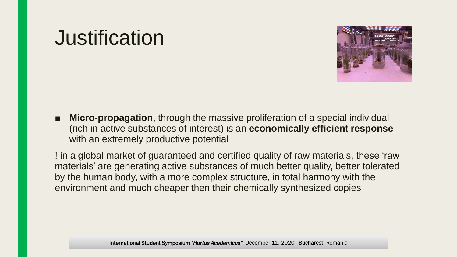### **Justification**



■ **Micro-propagation**, through the massive proliferation of a special individual (rich in active substances of interest) is an **economically efficient response**  with an extremely productive potential

! in a global market of guaranteed and certified quality of raw materials, these 'raw materials' are generating active substances of much better quality, better tolerated by the human body, with a more complex structure, in total harmony with the environment and much cheaper then their chemically synthesized copies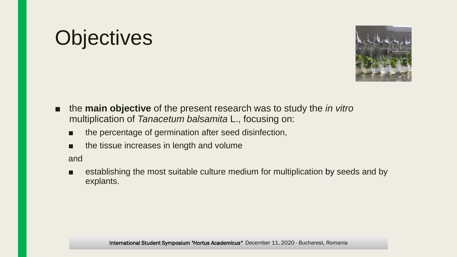# **Objectives**



- the **main objective** of the present research was to study the *in vitro* multiplication of *Tanacetum balsamita* L., focusing on:
	- the percentage of germination after seed disinfection,
	- the tissue increases in length and volume

and

■ establishing the most suitable culture medium for multiplication by seeds and by explants.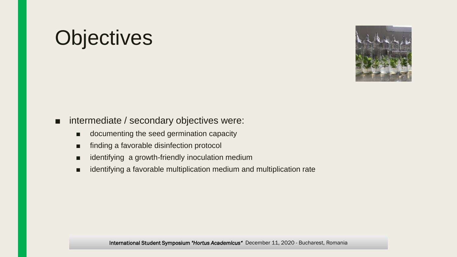# **Objectives**



#### ■ intermediate / secondary objectives were:

- documenting the seed germination capacity
- finding a favorable disinfection protocol
- identifying a growth-friendly inoculation medium
- identifying a favorable multiplication medium and multiplication rate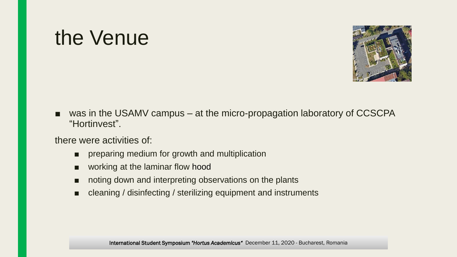### the Venue



■ was in the USAMV campus – at the micro-propagation laboratory of CCSCPA "Hortinvest".

there were activities of:

- preparing medium for growth and multiplication
- working at the laminar flow hood
- noting down and interpreting observations on the plants
- cleaning / disinfecting / sterilizing equipment and instruments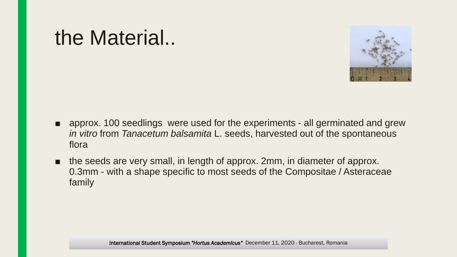#### the Material..



- approx. 100 seedlings were used for the experiments all germinated and grew *in vitro* from *Tanacetum balsamita* L. seeds, harvested out of the spontaneous flora
- the seeds are very small, in length of approx. 2mm, in diameter of approx. 0.3mm - with a shape specific to most seeds of the Compositae / Asteraceae family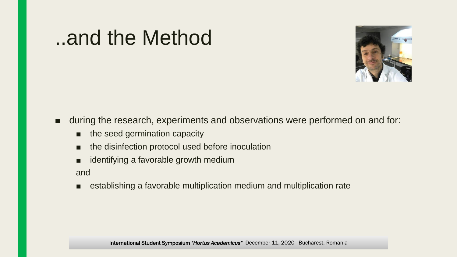#### ..and the Method



#### ■ during the research, experiments and observations were performed on and for:

- the seed germination capacity
- the disinfection protocol used before inoculation
- identifying a favorable growth medium

and

■ establishing a favorable multiplication medium and multiplication rate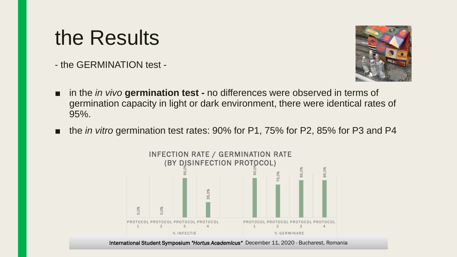### the Results

- the GERMINATION test -



- in the *in vivo* germination test no differences were observed in terms of germination capacity in light or dark environment, there were identical rates of 95%.
- the *in vitro* germination test rates: 90% for P1, 75% for P2, 85% for P3 and P4

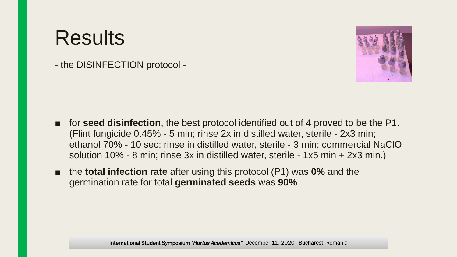- the DISINFECTION protocol -



- for **seed disinfection**, the best protocol identified out of 4 proved to be the P1. (Flint fungicide 0.45% - 5 min; rinse 2x in distilled water, sterile - 2x3 min; ethanol 70% - 10 sec; rinse in distilled water, sterile - 3 min; commercial NaClO solution 10% - 8 min; rinse 3x in distilled water, sterile - 1x5 min + 2x3 min.)
- the **total infection rate** after using this protocol (P1) was **0%** and the germination rate for total **germinated seeds** was **90%**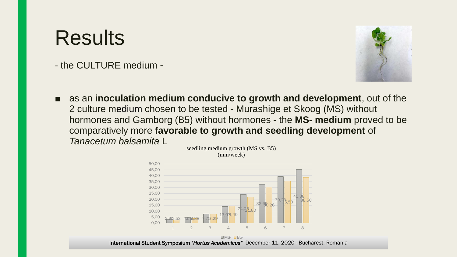- the CULTURE medium -



■ as an **inoculation medium conducive to growth and development**, out of the 2 culture medium chosen to be tested - Murashige et Skoog (MS) without hormones and Gamborg (B5) without hormones - the **MS- medium** proved to be comparatively more **favorable to growth and seedling development** of *Tanacetum balsamita* L seedling medium growth (MS vs. B5)

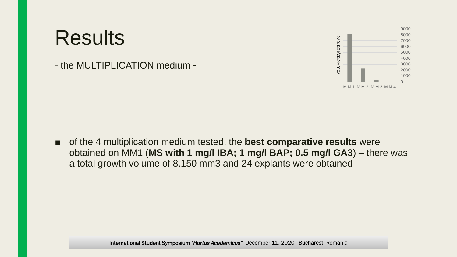- the MULTIPLICATION medium -



■ of the 4 multiplication medium tested, the **best comparative results** were obtained on MM1 (**MS with 1 mg/l IBA; 1 mg/l BAP; 0.5 mg/l GA3**) – there was a total growth volume of 8.150 mm3 and 24 explants were obtained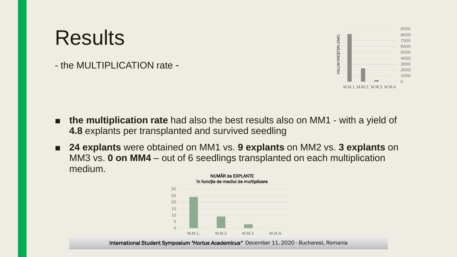- the MULTIPLICATION rate -



- **the multiplication rate** had also the best results also on MM1 with a yield of **4.8** explants per transplanted and survived seedling
- **24 explants** were obtained on MM1 vs. 9 explants on MM2 vs. 3 explants on MM3 vs. **0 on MM4** – out of 6 seedlings transplanted on each multiplication medium. NUMĂR de EXPLANTE

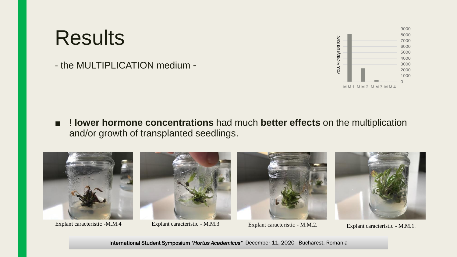- the MULTIPLICATION medium -



■ **! lower hormone concentrations** had much **better effects** on the multiplication and/or growth of transplanted seedlings.



Explant caracteristic - M.M.4 Explant caracteristic - M.M.3 Explant caracteristic - M.M.2.



Explant caracteristic - M.M.3





Explant caracteristic - M.M.1.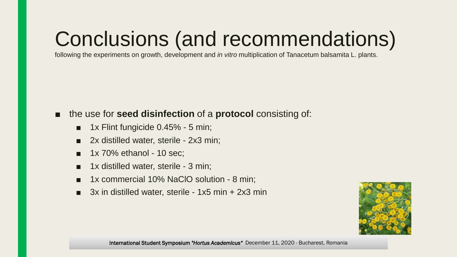# Conclusions (and recommendations)

following the experiments on growth, development and *in vitro* multiplication of Tanacetum balsamita L. plants.

#### ■ the use for **seed disinfection** of a **protocol** consisting of:

- 1x Flint fungicide 0.45% 5 min;
- 2x distilled water, sterile 2x3 min;
- $\blacksquare$  1x 70% ethanol 10 sec;
- 1x distilled water, sterile 3 min;
- 1x commercial 10% NaClO solution 8 min;
- 3x in distilled water, sterile 1x5 min + 2x3 min

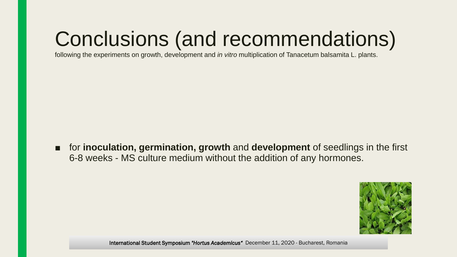# Conclusions (and recommendations)

following the experiments on growth, development and *in vitro* multiplication of Tanacetum balsamita L. plants.

■ for **inoculation, germination, growth** and **development** of seedlings in the first 6-8 weeks - MS culture medium without the addition of any hormones.

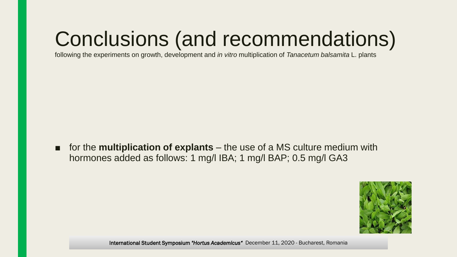# Conclusions (and recommendations)

following the experiments on growth, development and *in vitro* multiplication of *Tanacetum balsamita* L. plants

■ for the **multiplication of explants** – the use of a MS culture medium with hormones added as follows: 1 mg/l IBA; 1 mg/l BAP; 0.5 mg/l GA3